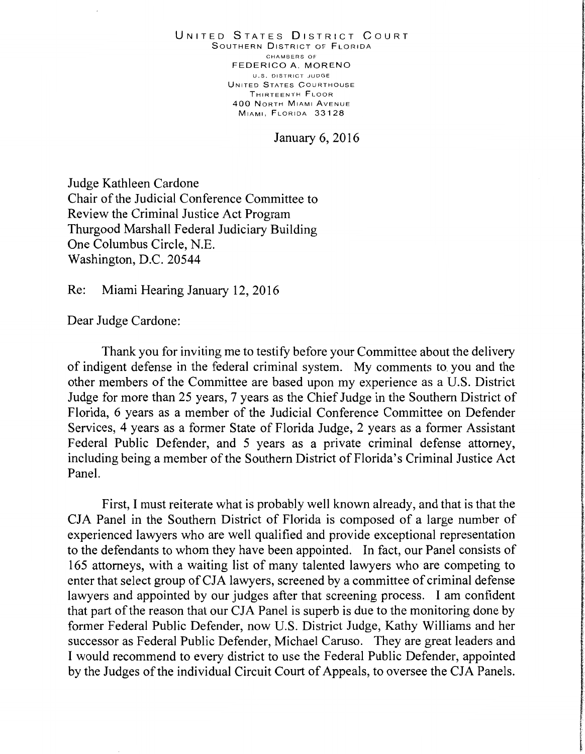UNITED STATES DISTRICT CouRT SouTHERN DISTRICT OF FLORIDA CHAMBERS Of FEDERICO A. MORENO U.S. DISTRICT JUDGE UNITED STATES CouRTHOUSE THIRTEENTH FLOOR 400 NoRTH MIAMI AvENUE MIAMI, FLORIDA 33128

January 6, 2016

Judge Kathleen Cardone Chair of the Judicial Conference Committee to Review the Criminal Justice Act Program Thurgood Marshall Federal Judiciary Building One Columbus Circle, N.E. Washington, D.C. 20544

Re: Miami Hearing January 12, 2016

Dear Judge Cardone:

Thank you for inviting me to testify before your Committee about the delivery of indigent defense in the federal criminal system. My comments to you and the other members of the Committee are based upon my experience as a U.S. District Judge for more than 25 years, 7 years as the Chief Judge in the Southern District of Florida, 6 years as a member of the Judicial Conference Committee on Defender Services, 4 years as a former State of Florida Judge, 2 years as a former Assistant Federal Public Defender, and 5 years as a private criminal defense attorney, including being a member of the Southern District of Florida's Criminal Justice Act Panel.

First, I must reiterate what is probably well known already, and that is that the CJA Panel in the Southern District of Florida is composed of a large number of experienced lawyers who are well qualified and provide exceptional representation to the defendants to whom they have been appointed. In fact, our Panel consists of 165 attorneys, with a waiting list of many talented lawyers who are competing to enter that select group of CJA lawyers, screened by a committee of criminal defense lawyers and appointed by our judges after that screening process. I am confident that part of the reason that our CJA Panel is superb is due to the monitoring done by former Federal Public Defender, now U.S. District Judge, Kathy Williams and her successor as Federal Public Defender, Michael Caruso. They are great leaders and I would recommend to every district to use the Federal Public Defender, appointed by the Judges of the individual Circuit Court of Appeals, to oversee the CJA Panels.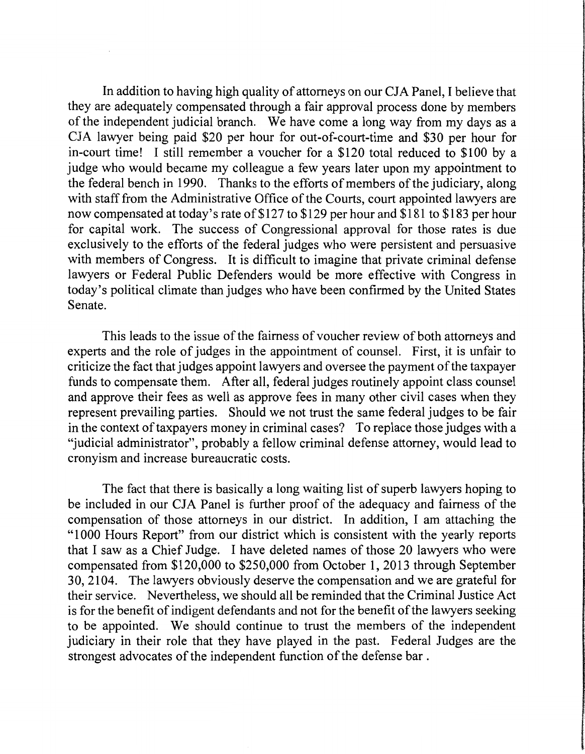In addition to having high quality of attorneys on our CJA Panel, I believe that they are adequately compensated through a fair approval process done by members of the independent judicial branch. We have come a long way from my days as a CJA lawyer being paid \$20 per hour for out-of-court-time and \$30 per hour for in-court time! I still remember a voucher for a \$120 total reduced to \$100 by a judge who would became my colleague a few years later upon my appointment to the federal bench in 1990. Thanks to the efforts of members of the judiciary, along with staff from the Administrative Office of the Courts, court appointed lawyers are now compensated at today's rate of\$127 to \$129 per hour and \$181 to \$183 per hour for capital work. The success of Congressional approval for those rates is due exclusively to the efforts of the federal judges who were persistent and persuasive with members of Congress. It is difficult to imagine that private criminal defense lawyers or Federal Public Defenders would be more effective with Congress in today's political climate than judges who have been confirmed by the United States Senate.

This leads to the issue of the fairness of voucher review of both attorneys and experts and the role of judges in the appointment of counsel. First, it is unfair to criticize the fact that judges appoint lawyers and oversee the payment of the taxpayer funds to compensate them. After all, federal judges routinely appoint class counsel and approve their fees as well as approve fees in many other civil cases when they represent prevailing parties. Should we not trust the same federal judges to be fair in the context of taxpayers money in criminal cases? To replace those judges with a "judicial administrator", probably a fellow criminal defense attorney, would lead to cronyism and increase bureaucratic costs.

The fact that there is basically a long waiting list of superb lawyers hoping to be included in our CJA Panel is further proof of the adequacy and fairness of the compensation of those attorneys in our district. In addition, I am attaching the "1 000 Hours Report" from our district which is consistent with the yearly reports that I saw as a Chief Judge. I have deleted names of those 20 lawyers who were compensated from \$120,000 to \$250,000 from October 1, 2013 through September 30, 2104. The lawyers obviously deserve the compensation and we are grateful for their service. Nevertheless, we should all be reminded that the Criminal Justice Act is for the benefit of indigent defendants and not for the benefit of the lawyers seeking to be appointed. We should continue to trust the members of the independent judiciary in their role that they have played in the past. Federal Judges are the strongest advocates of the independent function of the defense bar .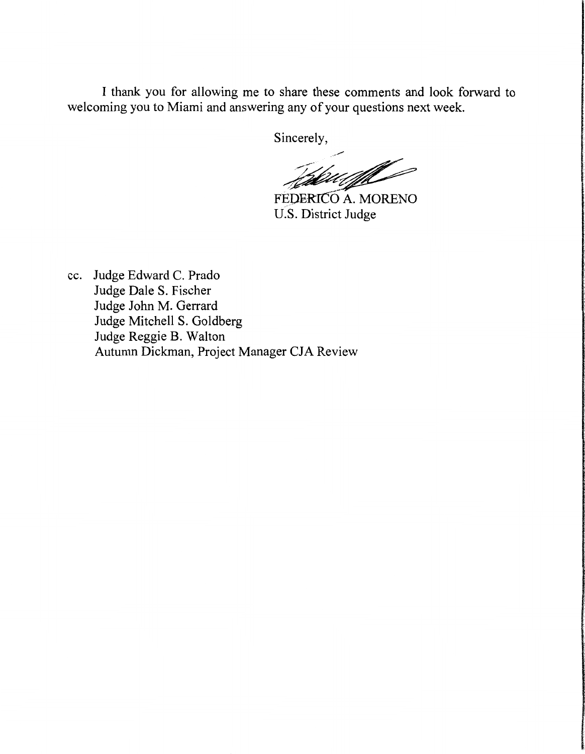I thank you for allowing me to share these comments and look forward to welcoming you to Miami and answering any of your questions next week.

Sincerely,

%w/

FEDERICO A. MORENO U.S. District Judge

cc. Judge Edward C. Prado Judge Dale S. Fischer Judge John M. Gerrard Judge Mitchell S. Goldberg Judge Reggie B. Walton Autumn Dickman, Project Manager CJA Review